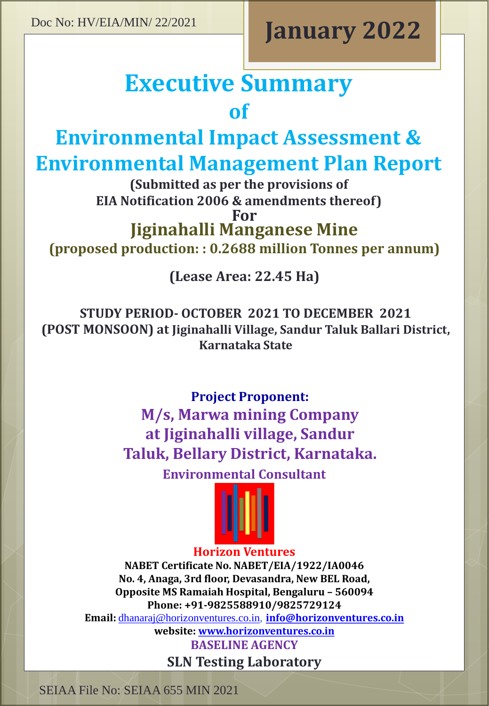# **January 2022**

# **Executive Summary of**

**Environmental Impact Assessment &** 

## **Environmental Management Plan Report**

**(Submitted as per the provisions of EIA Notification 2006 & amendments thereof)**

**For**

**Jiginahalli Manganese Mine**

**(proposed production: : 0.2688 million Tonnes per annum)**

**(Lease Area: 22.45 Ha)**

**STUDY PERIOD- OCTOBER 2021 TO DECEMBER 2021 (POST MONSOON) at Jiginahalli Village, Sandur Taluk Ballari District, Karnataka State**

> **Project Proponent: M/s, Marwa mining Company at Jiginahalli village, Sandur Taluk, Bellary District, Karnataka.**

> > **Environmental Consultant**



#### **Horizon Ventures**

**NABET Certificate No. NABET/EIA/1922/IA0046 No. 4, Anaga, 3rd floor, Devasandra, New BEL Road, Opposite MS Ramaiah Hospital, Bengaluru – 560094 Phone: +91-9825588910/9825729124 Email:** [dhanaraj@horizonventures.co.in](mailto:dhanaraj@horizonventures.co.in), **[info@horizonventures.co.in](mailto:info@horizonventures.co.in) website: [www.horizonventures.co.in](http://www.horizonventures.co.in/)**

**BASELINE AGENCY SLN Testing Laboratory**

SEIAA File No: SEIAA 655 MIN 2021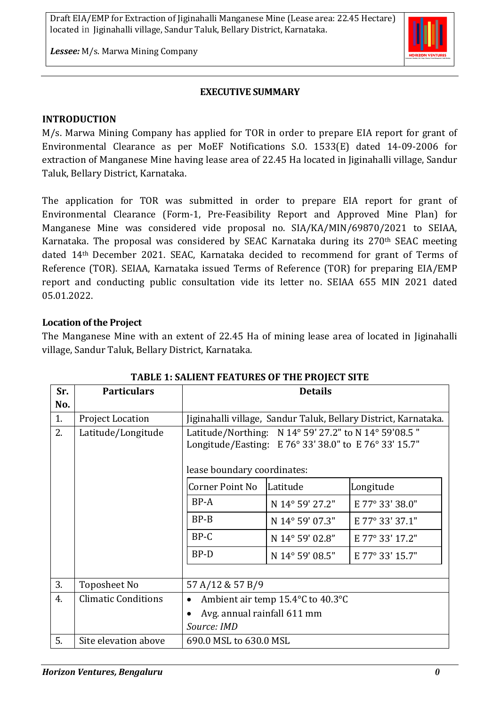

*Lessee:* M/s. Marwa Mining Company

#### **EXECUTIVE SUMMARY**

#### **INTRODUCTION**

M/s. Marwa Mining Company has applied for TOR in order to prepare EIA report for grant of Environmental Clearance as per MoEF Notifications S.O. 1533(E) dated 14-09-2006 for extraction of Manganese Mine having lease area of 22.45 Ha located in Jiginahalli village, Sandur Taluk, Bellary District, Karnataka.

The application for TOR was submitted in order to prepare EIA report for grant of Environmental Clearance (Form-1, Pre-Feasibility Report and Approved Mine Plan) for Manganese Mine was considered vide proposal no. SIA/KA/MIN/69870/2021 to SEIAA, Karnataka. The proposal was considered by SEAC Karnataka during its 270<sup>th</sup> SEAC meeting dated 14th December 2021. SEAC, Karnataka decided to recommend for grant of Terms of Reference (TOR). SEIAA, Karnataka issued Terms of Reference (TOR) for preparing EIA/EMP report and conducting public consultation vide its letter no. SEIAA 655 MIN 2021 dated 05.01.2022.

#### **Location of the Project**

The Manganese Mine with an extent of 22.45 Ha of mining lease area of located in Jiginahalli village, Sandur Taluk, Bellary District, Karnataka.

| Sr. | <b>Particulars</b>         | <b>Details</b>                                                  |                 |                 |
|-----|----------------------------|-----------------------------------------------------------------|-----------------|-----------------|
| No. |                            |                                                                 |                 |                 |
| 1.  | <b>Project Location</b>    | Jiginahalli village, Sandur Taluk, Bellary District, Karnataka. |                 |                 |
| 2.  | Latitude/Longitude         | Latitude/Northing: N 14° 59' 27.2" to N 14° 59'08.5"            |                 |                 |
|     |                            | Longitude/Easting: E 76° 33' 38.0" to E 76° 33' 15.7"           |                 |                 |
|     |                            |                                                                 |                 |                 |
|     |                            | lease boundary coordinates:                                     |                 |                 |
|     |                            | Corner Point No                                                 | Latitude        | Longitude       |
|     |                            | BP-A                                                            | N 14° 59' 27.2" | E 77° 33' 38.0" |
|     |                            | $BP-B$                                                          | N 14° 59' 07.3" | E 77° 33' 37.1" |
|     |                            | BP-C                                                            | N 14° 59' 02.8" | E 77° 33' 17.2" |
|     |                            | BP-D                                                            | N 14° 59' 08.5" | E 77° 33' 15.7" |
|     |                            |                                                                 |                 |                 |
| 3.  | <b>Toposheet No</b>        | 57 A/12 & 57 B/9                                                |                 |                 |
| 4.  | <b>Climatic Conditions</b> | Ambient air temp 15.4°C to 40.3°C                               |                 |                 |
|     |                            | Avg. annual rainfall 611 mm                                     |                 |                 |
|     |                            | Source: IMD                                                     |                 |                 |
| 5.  | Site elevation above       | 690.0 MSL to 630.0 MSL                                          |                 |                 |

**TABLE 1: SALIENT FEATURES OF THE PROJECT SITE**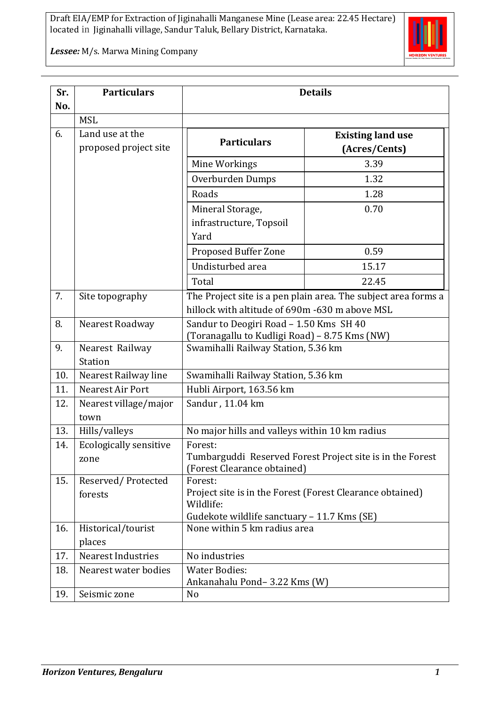

*Lessee:* M/s. Marwa Mining Company

| Sr.<br>No. | <b>Particulars</b>                       | <b>Details</b>                                                                                                                   |                                           |  |
|------------|------------------------------------------|----------------------------------------------------------------------------------------------------------------------------------|-------------------------------------------|--|
|            | <b>MSL</b>                               |                                                                                                                                  |                                           |  |
| 6.         | Land use at the<br>proposed project site | <b>Particulars</b>                                                                                                               | <b>Existing land use</b><br>(Acres/Cents) |  |
|            |                                          | Mine Workings                                                                                                                    | 3.39                                      |  |
|            |                                          | Overburden Dumps                                                                                                                 | 1.32                                      |  |
|            |                                          | Roads                                                                                                                            | 1.28                                      |  |
|            |                                          | Mineral Storage,<br>infrastructure, Topsoil<br>Yard                                                                              | 0.70                                      |  |
|            |                                          | Proposed Buffer Zone                                                                                                             | 0.59                                      |  |
|            |                                          | Undisturbed area                                                                                                                 | 15.17                                     |  |
|            |                                          | Total                                                                                                                            | 22.45                                     |  |
| 7.         | Site topography                          | The Project site is a pen plain area. The subject area forms a<br>hillock with altitude of 690m -630 m above MSL                 |                                           |  |
| 8.         | Nearest Roadway                          | Sandur to Deogiri Road - 1.50 Kms SH 40<br>(Toranagallu to Kudligi Road) - 8.75 Kms (NW)                                         |                                           |  |
| 9.         | Nearest Railway<br><b>Station</b>        | Swamihalli Railway Station, 5.36 km                                                                                              |                                           |  |
| 10.        | Nearest Railway line                     | Swamihalli Railway Station, 5.36 km                                                                                              |                                           |  |
| 11.        | Nearest Air Port                         | Hubli Airport, 163.56 km                                                                                                         |                                           |  |
| 12.        | Nearest village/major<br>town            | Sandur, 11.04 km                                                                                                                 |                                           |  |
| 13.        | Hills/valleys                            | No major hills and valleys within 10 km radius                                                                                   |                                           |  |
| 14.        | <b>Ecologically sensitive</b><br>zone    | Forest:<br>Tumbarguddi Reserved Forest Project site is in the Forest<br>(Forest Clearance obtained)                              |                                           |  |
| 15.        | Reserved/Protected<br>forests            | Forest:<br>Project site is in the Forest (Forest Clearance obtained)<br>Wildlife:<br>Gudekote wildlife sanctuary - 11.7 Kms (SE) |                                           |  |
| 16.        | Historical/tourist<br>places             | None within 5 km radius area                                                                                                     |                                           |  |
| 17.        | <b>Nearest Industries</b>                | No industries                                                                                                                    |                                           |  |
| 18.        | Nearest water bodies                     | <b>Water Bodies:</b>                                                                                                             |                                           |  |
|            |                                          | Ankanahalu Pond-3.22 Kms (W)                                                                                                     |                                           |  |
| 19.        | Seismic zone                             | No                                                                                                                               |                                           |  |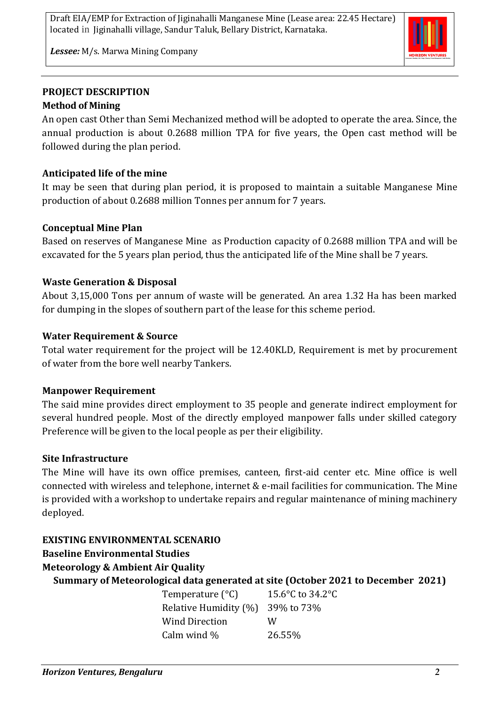

*Lessee:* M/s. Marwa Mining Company

#### **PROJECT DESCRIPTION Method of Mining**

An open cast Other than Semi Mechanized method will be adopted to operate the area. Since, the annual production is about 0.2688 million TPA for five years, the Open cast method will be followed during the plan period.

## **Anticipated life of the mine**

It may be seen that during plan period, it is proposed to maintain a suitable Manganese Mine production of about 0.2688 million Tonnes per annum for 7 years.

#### **Conceptual Mine Plan**

Based on reserves of Manganese Mine as Production capacity of 0.2688 million TPA and will be excavated for the 5 years plan period, thus the anticipated life of the Mine shall be 7 years.

#### **Waste Generation & Disposal**

About 3,15,000 Tons per annum of waste will be generated. An area 1.32 Ha has been marked for dumping in the slopes of southern part of the lease for this scheme period.

#### **Water Requirement & Source**

Total water requirement for the project will be 12.40KLD, Requirement is met by procurement of water from the bore well nearby Tankers.

#### **Manpower Requirement**

The said mine provides direct employment to 35 people and generate indirect employment for several hundred people. Most of the directly employed manpower falls under skilled category Preference will be given to the local people as per their eligibility.

#### **Site Infrastructure**

The Mine will have its own office premises, canteen, first-aid center etc. Mine office is well connected with wireless and telephone, internet & e-mail facilities for communication. The Mine is provided with a workshop to undertake repairs and regular maintenance of mining machinery deployed.

## **EXISTING ENVIRONMENTAL SCENARIO**

## **Baseline Environmental Studies**

#### **Meteorology & Ambient Air Quality**

**Summary of Meteorological data generated at site (October 2021 to December 2021)**

Temperature (°C) 15.6°C to 34.2°C Relative Humidity (%) 39% to 73% Wind Direction W Calm wind  $\%$  26.55%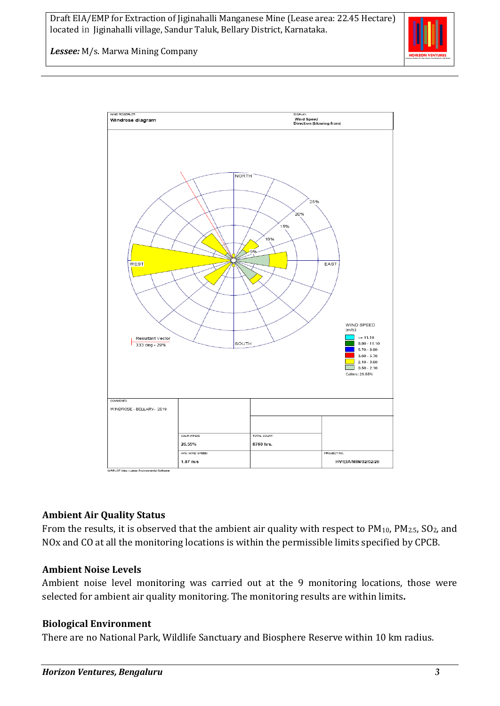

*Lessee:* M/s. Marwa Mining Company



#### **Ambient Air Quality Status**

From the results, it is observed that the ambient air quality with respect to PM<sub>10</sub>, PM<sub>2.5</sub>, SO<sub>2</sub>, and NOx and CO at all the monitoring locations is within the permissible limits specified by CPCB.

#### **Ambient Noise Levels**

Ambient noise level monitoring was carried out at the 9 monitoring locations, those were selected for ambient air quality monitoring. The monitoring results are within limits**.**

#### **Biological Environment**

There are no National Park, Wildlife Sanctuary and Biosphere Reserve within 10 km radius.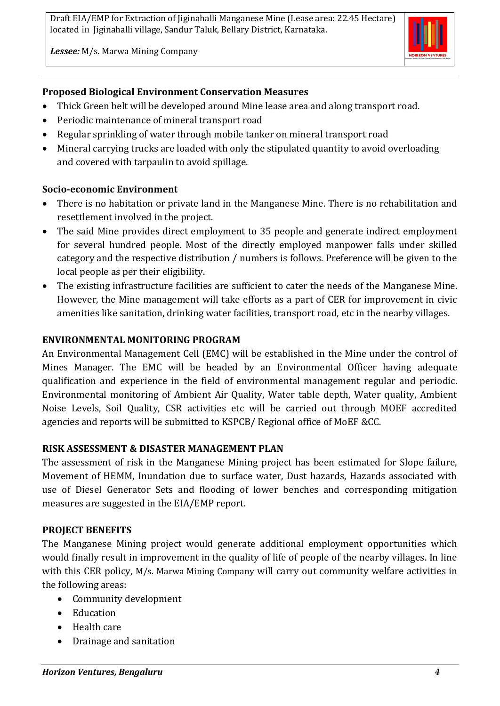*Lessee:* M/s. Marwa Mining Company



#### **Proposed Biological Environment Conservation Measures**

- Thick Green belt will be developed around Mine lease area and along transport road.
- Periodic maintenance of mineral transport road
- Regular sprinkling of water through mobile tanker on mineral transport road
- Mineral carrying trucks are loaded with only the stipulated quantity to avoid overloading and covered with tarpaulin to avoid spillage.

#### **Socio-economic Environment**

- There is no habitation or private land in the Manganese Mine. There is no rehabilitation and resettlement involved in the project.
- The said Mine provides direct employment to 35 people and generate indirect employment for several hundred people. Most of the directly employed manpower falls under skilled category and the respective distribution / numbers is follows. Preference will be given to the local people as per their eligibility.
- The existing infrastructure facilities are sufficient to cater the needs of the Manganese Mine. However, the Mine management will take efforts as a part of CER for improvement in civic amenities like sanitation, drinking water facilities, transport road, etc in the nearby villages.

#### **ENVIRONMENTAL MONITORING PROGRAM**

An Environmental Management Cell (EMC) will be established in the Mine under the control of Mines Manager. The EMC will be headed by an Environmental Officer having adequate qualification and experience in the field of environmental management regular and periodic. Environmental monitoring of Ambient Air Quality, Water table depth, Water quality, Ambient Noise Levels, Soil Quality, CSR activities etc will be carried out through MOEF accredited agencies and reports will be submitted to KSPCB/ Regional office of MoEF &CC.

#### **RISK ASSESSMENT & DISASTER MANAGEMENT PLAN**

The assessment of risk in the Manganese Mining project has been estimated for Slope failure, Movement of HEMM, Inundation due to surface water, Dust hazards, Hazards associated with use of Diesel Generator Sets and flooding of lower benches and corresponding mitigation measures are suggested in the EIA/EMP report.

#### **PROJECT BENEFITS**

The Manganese Mining project would generate additional employment opportunities which would finally result in improvement in the quality of life of people of the nearby villages. In line with this CER policy, M/s. Marwa Mining Company will carry out community welfare activities in the following areas:

- Community development
- Education
- Health care
- Drainage and sanitation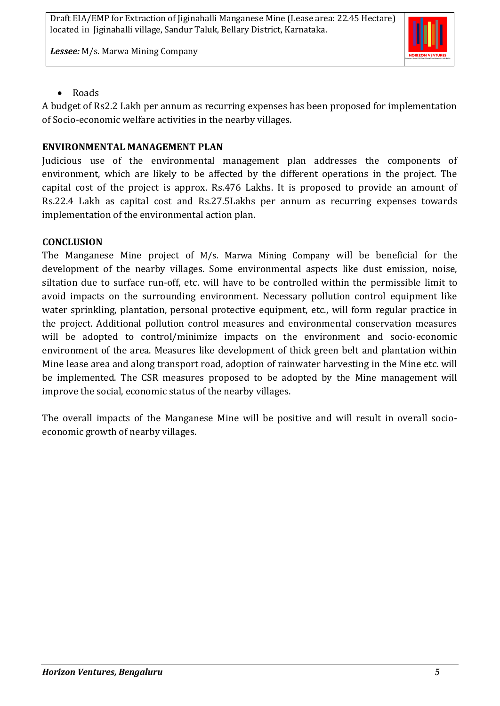*Lessee:* M/s. Marwa Mining Company



#### • Roads

A budget of Rs2.2 Lakh per annum as recurring expenses has been proposed for implementation of Socio-economic welfare activities in the nearby villages.

#### **ENVIRONMENTAL MANAGEMENT PLAN**

Judicious use of the environmental management plan addresses the components of environment, which are likely to be affected by the different operations in the project. The capital cost of the project is approx. Rs.476 Lakhs. It is proposed to provide an amount of Rs.22.4 Lakh as capital cost and Rs.27.5Lakhs per annum as recurring expenses towards implementation of the environmental action plan.

#### **CONCLUSION**

The Manganese Mine project of M/s. Marwa Mining Company will be beneficial for the development of the nearby villages. Some environmental aspects like dust emission, noise, siltation due to surface run-off, etc. will have to be controlled within the permissible limit to avoid impacts on the surrounding environment. Necessary pollution control equipment like water sprinkling, plantation, personal protective equipment, etc., will form regular practice in the project. Additional pollution control measures and environmental conservation measures will be adopted to control/minimize impacts on the environment and socio-economic environment of the area. Measures like development of thick green belt and plantation within Mine lease area and along transport road, adoption of rainwater harvesting in the Mine etc. will be implemented. The CSR measures proposed to be adopted by the Mine management will improve the social, economic status of the nearby villages.

The overall impacts of the Manganese Mine will be positive and will result in overall socioeconomic growth of nearby villages.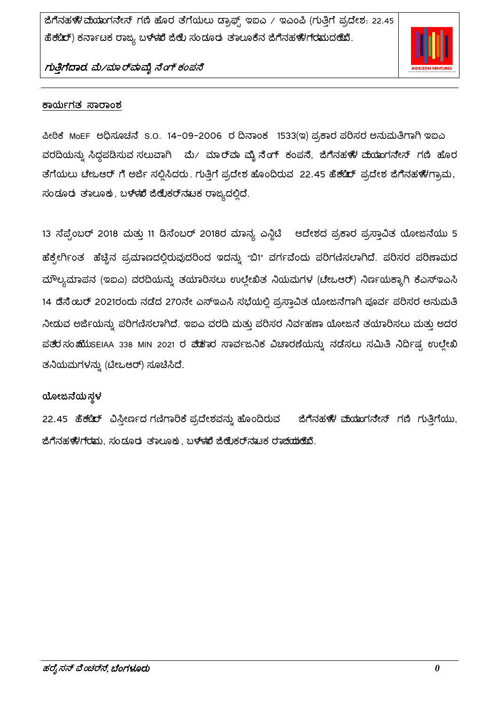

#### ಕಾರ್ಯಗತ ಸಾರಾಂಶ

ಪೀಠಿಕೆ MoEF ಅಧಿಸೂಚನೆ S.O. 14-09-2006 ರ ದಿನಾಂಕ 1533(ಇ) ಪ್ರಕಾರ ಪರಿಸರ ಅನುಮತಿಗಾಗಿ ಇಐಎ ವರದಿಯನ್ನು ಸಿದ್ದಪಡಿಸುವ ಸಲುವಾಗಿ ಪು⁄ ಮಾರ್ವಾ ಮೈನೆಂಗ್ ಕಂಪನೆ, ಜಿಗೆನಹಳಿಃ ಮೆಯಾಗನೇಸ್ ಗಣಿ ಹೊರ ತೆಗೆಯಲು ಟೇಒಆರ್ ಗೆ ಅರ್ಜಿ ಸಲ್ಲಿಸಿದರು. ಗುತ್ತಿಗೆ ಪ್ರದೇಶ ಹೊಂದಿರುವ 22.45 ಹೆಕ್ಟೆರ್ ಪ್ರದೇಶ ಜಿಗೆನಹಳೆಗಾವು, ಸಂಡೂರು ತಾಲೂಕು, ಬಳಳಪೆ ಜಿಲ್ಲೆಕರ್ನಟುಕ ರಾಜ್ಯದಲ್ಲಿದೆ.

13 ಸೆಪ್ಟೆಂಬರ್ 2018 ಮತ್ತು 11 ಡಿಸೆಂಬರ್ 2018ರ ಮಾನ್ಯ ಎನ್ಜಿಟಿ ಆದೇಶದ ಪ್ರಕಾರ ಪ್ರಸ್ತಾವಿತ ಯೋಜನೆಯು 5 ಹೆಕ್ಟೇರ್ಗಿಂತ ಹೆಚ್ಚಿನ ಪ್ರಮಾಣದಲ್ಲಿರುವುದರಿಂದ ಇದನ್ನು "ಬಿ1" ವರ್ಗವೆಂದು ಪರಿಗಣಿಸಲಾಗಿದೆ. ಪರಿಸರ ಪರಿಣಾಮದ ಮೌಲ್ಯಮಾಪನ (ಇಐಎ) ವರದಿಯನ್ನು ತಯಾರಿಸಲು ಉಲ್ಲೇಖಿತ ನಿಯಮಗಳ (ಚೇಒಆರ್) ನಿರ್ಣಯಕ್ಕಾಗಿ ಕೆಎಸ್ಇಎಸಿ 14 ಡೆಸೆ ಜುರ್ 2021ರಂದು ನಡೆದ 270ನೇ ಎಸ್ಇಎಸಿ ಸಭೆಯಲ್ಲಿ ಪ್ರಸ್ತಾವಿತ ಯೋಜನೆಗಾಗಿ ಪೂರ್ವ ಪರಿಸರ ಅನುಮತಿ ನೀಡುವ ಅರ್ಜಿಯನ್ನು ಪರಿಗಣಿಸಲಾಗಿದೆ. ಇಐಎ ವರದಿ ಮತ್ತು ಪರಿಸರ ನಿರ್ವಹಣಾ ಯೋಜನೆ ತಯಾರಿಸಲು ಮತ್ತು ಅದರ ಪತೆರಸಂಋುುsEIAA 338 MIN 2021 ರ ಪೆಡೆಕುರ ಸಾರ್ವಜನಿಕ ವಿಚಾರಣೆಯನ್ನು ನಡೆಸಲು ಸಮಿತಿ ನಿರ್ದಿಷ್ಟ ಉಲ್ಲೇಖಿ ತನಿಯಮಗಳನ್ನು (ಟೀಒಆರ್) ಸೂಚಿಸಿದೆ.

#### ಯೋಜನೆಯಸ್ಥಳ

22.45 ಹೆಕ್ಟೆರ್ ವಿಸ್ತೀರ್ಣದ ಗಣಿಗಾರಿಕೆ ಪ್ರದೇಶವನ್ನು ಹೊಂದಿರುವ ಜಿಗೆನಹಳೆಃ ಮೆಯಾಗನೇಸ್ ಗಣಿ ಗುತ್ತಿಗೆಯು, ಜಿಗೆನಹಳೆಗರಮ, ಸಂದೂರು ತಾಲೂಕು, ಬಳಳುದೆ ಜಿಲ್ಲೊಕರ್ನುಟಕ ರಾಜೆಯುಲೆಯೆ.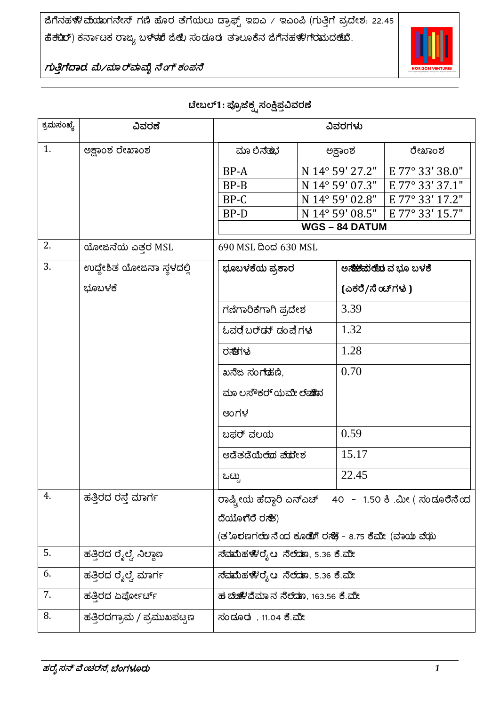

ಗುತ್ತಿಗೆದಾರ. ಮೆ/ಮಾರ್'ಾವೈ ನೆಂಗ್ ಕಂಪನೆ

## ಟೇಬಲ್1: ಪ್ರೊಜೆಕ್ಕ್ನಸಂಕ್ಷಿಪ್ತವಿವರಣೆ

| ಕ್ರಮಸಂಖ್ಯೆ | ವಿವರಣೆ                     | ವಿವರಗಳು                                                  |  |                     |                                        |
|------------|----------------------------|----------------------------------------------------------|--|---------------------|----------------------------------------|
| 1.         | ಅಕ್ಷಾಂಶ ರೇಖಾಂಶ             | ಮಾ ಲಿಸೆತುರ                                               |  | ಅಕ್ಷಾಂಶ             | ರೇಖಾಂಶ                                 |
|            |                            | BP-A                                                     |  | N 14° 59' 27.2"     | E 77° 33' 38.0"                        |
|            |                            | BP-B                                                     |  | N 14° 59' 07.3"     | E 77° 33' 37.1"                        |
|            |                            | $BP-C$                                                   |  | N 14° 59' 02.8"     | E 77° 33' 17.2"                        |
|            |                            | BP-D                                                     |  | N 14° 59' 08.5"     | E 77° 33' 15.7"                        |
|            |                            |                                                          |  | <b>WGS-84 DATUM</b> |                                        |
| 2.         | ಯೋಜನೆಯ ಎತ್ತರ MSL           | 690 MSL ದಿಂದ 630 MSL                                     |  |                     |                                        |
| 3.         | ಉದ್ದೇಶಿತ ಯೋಜನಾ ಸ್ಥಳದಲ್ಲಿ   | ಭೂಬಳಕೆಯ ಪ್ರಕಾರ                                           |  |                     | ಅ <b>ಸೆಟ್</b> ಮೆ <b>ಲೆದು</b> ವ ಭೂ ಬಳಕೆ |
|            | ಭೂಬಳಕೆ                     |                                                          |  | (ಎಕರೆ/ಸೆಂಚ್ಗಳು )    |                                        |
|            |                            | ಗಣಿಗಾರಿಕೆಗಾಗಿ ಪ್ರದೇಶ                                     |  | 3.39                |                                        |
|            |                            | ಓವರ ಬರ್ಡ್ ಡಂಪ್ಗೆಗಳು                                      |  | 1.32                |                                        |
|            |                            | ರಸೆಗಳ                                                    |  | 1.28                |                                        |
|            |                            | ಖನೆಜ ಸಂಗಡದು,                                             |  | 0.70                |                                        |
|            |                            | ಮಾ ಲಸೌಕರ್ ಯಮೇ ಲೆ <b>ಷು</b> ನ                             |  |                     |                                        |
|            |                            | ಅಂಗಳ                                                     |  |                     |                                        |
|            |                            | ಬಫರ್ ವಲಯ                                                 |  | 0.59                |                                        |
|            |                            | ಅದೆತದೆಯೆಲೆದ ಪೆದೇಶ                                        |  | 15.17               |                                        |
|            |                            | ಒಟ್ಟು                                                    |  | 22.45               |                                        |
| 4.         | ಹತ್ತಿರದ ರಸ್ತೆ ಮಾರ್ಗ        | ರಾಷ್ಟ್ರೀಯ ಹೆದ್ದಾರಿ ಎನ್ಎಚ್ 40 - 1.50 ಕಿ .ಮೀ ( ಸಂಡೂರೆೆನೆಂದ |  |                     |                                        |
|            |                            | ದೆಯೊಗೆರೆ ರಸೆತ)                                           |  |                     |                                        |
|            |                            | (ತ`ೊರಣಗಲಾು ನೆಂದ ಕೂಡಿಂಗಿ ರಸೆತ್ರೆ - 8.75 ಕೆಮೇ (ವಾಯು ವೆಯು   |  |                     |                                        |
| 5.         | ಹತ್ತಿರದ ರೈಲ್ವೆ ನಿಲ್ದಾಣ     | ಸ್ಮಾಮಿಹಳೆಾರೈಟ ನೆಲ್ಮಾಾ, 5.36 ಕಿ.ಮೀ                        |  |                     |                                        |
| 6.         | ಹತ್ತಿರದ ರೈಲ್ವೆ ಮಾರ್ಗ       | ನ್ಮಾಮಿಹಳೇರೈಟ ನೆಲ್ಮಾಾ, 5.36 ಕಿ.ಮೀ                         |  |                     |                                        |
| 7.         | ಹತ್ತಿರದ ಏರ್ಪೋರ್ಚ್          | ಹ ಬೆಚಿಳಿದೆಮಾನ ನೆಲೆದೂ, 163.56 ಕೆ.ಮೇ                       |  |                     |                                        |
| 8.         | ಹತ್ತಿರದಗ್ರಾಮ / ಪ್ರಮುಖಪಟ್ಟಣ | ಸಂಡೂರು , 11.04 ಕೆ.ಮೇ                                     |  |                     |                                        |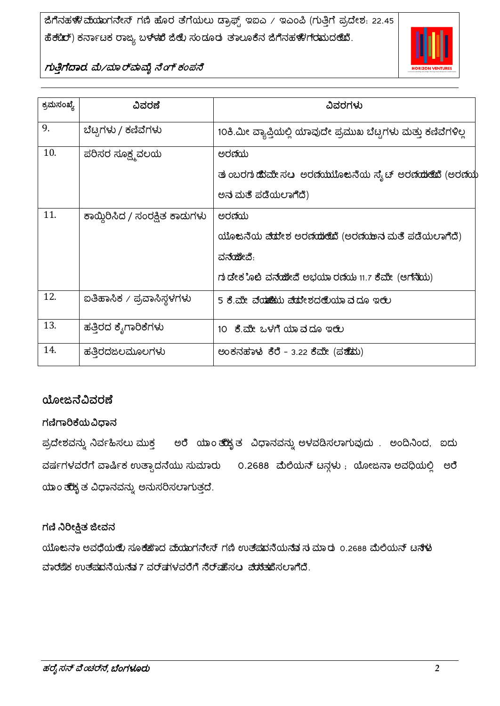

| ಕ್ರಮಸಂಖ್ಯೆ | ವಿವರಣೆ                         | ವಿವರಗಳು                                                        |
|------------|--------------------------------|----------------------------------------------------------------|
| 9.         | ಬೆಟ್ರಗಳು / ಕಣಿವೆಗಳು            | 10ಕಿ.ಮೀ ವ್ಯಾಪ್ತಿಯಲ್ಲಿ ಯಾವುದೇ ಪ್ರಮುಖ ಬೆಟ್ಟಗಳು ಮತ್ತು ಕಣಿವೆಗಳಿಲ್ಲ |
| 10.        | ಪರಿಸರ ಸೂಕ್ಷ್ಮವಲಯ               | ಅರಣಿಯ                                                          |
|            |                                | ತು ಂಬರಗು ಹೆರಮೇ ಸಲ ಅರಣೆಯುಬೊಂಜನೆಯ ಸ್ಯೆಟ್ ಅರಣೆಯುಂಟಿವೆ (ಅರಣೆಯ      |
|            |                                | ಅನ ಮತೆ ಪಡೆಯಲಾಗೆದೆ)                                             |
| 11.        | ಕಾಯ್ದಿರಿಸಿದ / ಸಂರಕ್ಷಿತ ಕಾಡುಗಳು | ಅರಣಿಯ                                                          |
|            |                                | ಯೊಂಜನೆಯ ಪ್ರಿಮೇಶ ಅರಣ್ಯಯಿತಿದೆ (ಅರಣೆಯಲನು ಮತೆ ಪಡೆಯಲಾಗಿದೆ)          |
|            |                                | ವನೆಯೆೇವೆ.                                                      |
|            |                                | ಗು ಡೇಕ ೊಟಿ ವನೆಯೋಪಿ ಅಭಯಾ ರಣಿಯ 11.7 ಕೆಮೇ (ಆಗ್ನೆಯ)                |
| 12.        | ಐತಿಹಾಸಿಕ ∕ ಪ್ರವಾಸಿಸ್ಥಳಗಳು      | 5 ಕೆ.ಮೇ ವೆಯಾಯಿಯು ವೇದೇಶದಲೆೆಯೂ ವ್ರದೂ ಇಲ್ಲಿ                       |
| 13.        | ಹತ್ತಿರದ ಕ್ಶೆಗಾರಿಕೆಗಳು          | 10 ಕೆ.ಮೇ ಒಳಗೆ ಯಾವದೂ ಇಲಿಲ                                       |
| 14.        | ಹತ್ತಿರದಜಲಮೂಲಗಳು                | ಅಂಕನಹಾಳು ಕೆರೆ – 3.22 ಕೆಮೇ (ಪಔೆಮು)                              |

## ಯೋಜನೆವಿವರಣೆ

## ಗಣಿಗಾರಿಕೆಯವಿಧಾನ

ಪ್ರದೇಶವನ್ನು ನಿರ್ವಹಿಸಲು ಮುಕ್ತ ಅರೆ ಯಾಂ ತೆಹೈತ ವಿಧಾನವನ್ನು ಅಳವಡಿಸಲಾಗುವುದು . ಅಂದಿನಿಂದ, ಐದು ವರ್ಷಗಳವರೆಗೆ ವಾರ್ಷಿಕ ಉತ್ಪಾದನೆಯು ಸುಮಾರು 0.2688 ಮೆಲಿಯನ್ ಟನ್ಗಳು ; ಯೋಜನಾ ಅವಧಿಯಲ್ಲಿ ಅರೆ ಯಾಂ ತೆಹೈತ ವಿಧಾನವನ್ನು ಅನುಸರಿಸಲಾಗುತ್ತದೆ.

## ಗಣಿ ನಿರೀಕ್ಷಿತ ಜೀವನ

ಯೊಜನಾ ಅವಧೆಯಆಿ, ಸೂಕೆಹೆಾದ ವ್ಯಯಾಗನೇಸ್ ಗಣಿ ಉತ್ಪಮನೆಯನೆವ ಸುಮಾರು 0.2688 ಮೆಲಿಯನ್ ಟನೆಳು ವಾರ್ಮಿ ಉತ್ಪುವನಿಯನ್ನು 7 ವರ್ಷಗಳವರೆಗೆ ನೆರ್ವಾಂದಲು ಪ್ರಚ್ಯಾಮಿಸಲಾಗಿದೆ.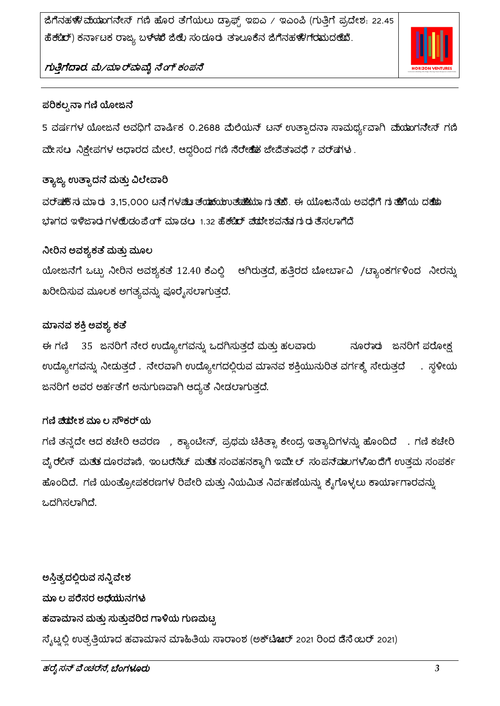ಜಿಗೆನಹಳೆಃ ಮೆಯಾಗನೇಸ್ ಗಣಿ ಹೊರ ತೆಗೆಯಲು ಡ್ರಾಫ್ಟ್ ಇಐಎ / ಇಎಂಪಿ (ಗುತ್ತಿಗೆ ಪ್ರದೇಶ: 22.45 ಹೆಕ್ಟೆರ್) ಕರ್ನಾಟಕ ರಾಜ್ಯ ಬಳಳಖೆ ಜಿಲ್ಲೆ ಸಂಡೂರು ತಾಲೂಕೆನ ಜಿಗೆನಹಳೆಗೆರಮುದ೮ೆಖೆ.



## ಗುತ್ತಿಗೆದಾರ. ಮೆ/ಮಾರ್ ಮಮ್ಮೆ ನೆಂಗ್ ಕಂಪನೆ

#### ಪರಿಕಲ್ಪನಾ ಗಣಿ ಯೋಜನೆ

5 ವರ್ಷಗಳ ಯೋಜನೆ ಅವಧಿಗೆ ವಾರ್ಷಿಕ 0.2688 ಮೆಲಿಯನ್ ಟನ್ ಉತ್ಪಾದನಾ ಸಾಮರ್ಥ್ಯವಾಗಿ ಮೆಯಾಗನೇಸ್ ಗಣಿ ಮೇಸಲು ನಿಕ್ಷೇಪಗಳ ಆಧಾರದ ಮೇಲೆ, ಆದ್ದರಿಂದ ಗಣಿ ನೆರೇಹೆತ ಜೇವೆತಾವಧೆ 7 ವರ್ಷಗಳು .

## ತ್ಯಾಜ್ಯ ಉತ್ಸಾದನೆ ಮತ್ತು ವಿಲೇವಾರಿ

ವರ್ಷಕ್ಕೆ ನ ಮಾರು 3,15,000 ಟನೆಗಳಷೆಖತ್ತೆಯಾಯಿಯಲ್ ಮೊತೆಯುವ ನಿತ್ತಿ. ಈ ಯೂಜನೆಯ ಅವಧಿಗೆ ಗುತೆಹೆಗೆಯ ದಕೆಯೊ ಭಾಗದ ಇಳಿಜಾರು ಗಳಅುಿಡಂಪೆಂಗ್ ಮಾಡಲ 1.32 ಹೆಕ್ಟೆರ್ ಪೆುಮೇಶವನವುಗುರುತಿಸಲಾಗಿದೆ

#### ನೀರಿನ ಅವಶ್ಯಕತೆ ಮತ್ತು ಮೂಲ

ಯೋಜನೆಗೆ ಒಟ್ಟು ನೀರಿನ ಅವಶ್ಯಕತೆ 12.40 ಕೆಎಲ್ಡಿ ಆಗಿರುತ್ತದೆ, ಹತ್ತಿರದ ಬೋರ್ಬಾವಿ /ಟ್ಯಾಂಕರ್ಗಳಿಂದ ನೀರನ್ನು ಖರೀದಿಸುವ ಮೂಲಕ ಅಗತ್ಯವನ್ನು ಪೂರೈಸಲಾಗುತ್ತದೆ.

## ಮಾನವ ಶಕ್ತಿ ಅವಶ್ಯ ಕತೆ

35 ಜನರಿಗೆ ನೇರ ಉದ್ಯೋಗವನ್ನು ಒದಗಿಸುತ್ತದೆ ಮತ್ತು ಹಲವಾರು ನೂರಾರು ಜನರಿಗೆ ಪರೋಕ್ಷ ಈ ಗಣಿ ಉದ್ಯೋಗವನ್ನು ನೀಡುತ್ತದೆ . ನೇರವಾಗಿ ಉದ್ಯೋಗದಲ್ಲಿರುವ ಮಾನವ ಶಕ್ತಿಯುನುರಿತ ವರ್ಗಕ್ಕೆ ಸೇರುತ್ತದೆ . ಸ್ಥಳೀಯ ಜನರಿಗೆ ಅವರ ಅರ್ಹತೆಗೆ ಅನುಗುಣವಾಗಿ ಆದ್ಯತೆ ನೀಡಲಾಗುತ್ತದೆ.

## ಗಣಿ ಹೆದ್ದೇಶ ಮೂಲ ಸೌಕರ್ ಯ

ಗಣಿ ತನ್ನದೇ ಆದ ಕಚೇರಿ ಆವರಣ , ಕ್ಯಾಂಟೀನ್, ಪ್ರಥಮ ಚಿಕಿತ್ಸಾ ಕೇಂದ್ರ ಇತ್ಯಾದಿಗಳನ್ನು ಹೊಂದಿದೆ . ಗಣಿ ಕಚೇರಿ ವ್ಯೆ ರಲಿಸ್ ಮತತ ದೂರವಾಣಿ, ಇಂಟರನೆಟ್ ಮತತ ಸಂವಹನಕ್ಕಾಗಿ ಇಮೇಲ್ ಸಂಪನ್*ಷ*ಲಗಳೊಂದೆಗೆ ಉತ್ತಮ ಸಂಪರ್ಕ ಹೊಂದಿದೆ. ಗಣಿ ಯಂತ್ರೋಪಕರಣಗಳ ರಿಪೇರಿ ಮತ್ತು ನಿಯಮಿತ ನಿರ್ವಹಣೆಯನ್ನು ಕೈಗೊಳ್ಳಲು ಕಾರ್ಯಾಗಾರವನ್ನು ಒದಗಿಸಲಾಗಿದೆ.

ಅಸ್ತಿತ್ವದಲ್ಲಿರುವ ಸನ್ನಿವೇಶ ಮೂ ಲ ಪರೆೆಸರ ಅಧೆಯುನಗಳು ಹವಾಮಾನ ಮತ್ತು ಸುತ್ತುವರಿದ ಗಾಳಿಯ ಗುಣಮಟ್ಟ ಸೈಟ್ನಲ್ಲಿ ಉತ್ಪತ್ತಿಯಾದ ಹವಾಮಾನ ಮಾಹಿತಿಯ ಸಾರಾಂಶ (ಅಕ್**ಟಿಚ**ರ್ 2021 ರಿಂದ ಡೆಸೆ ಯರ್ 2021)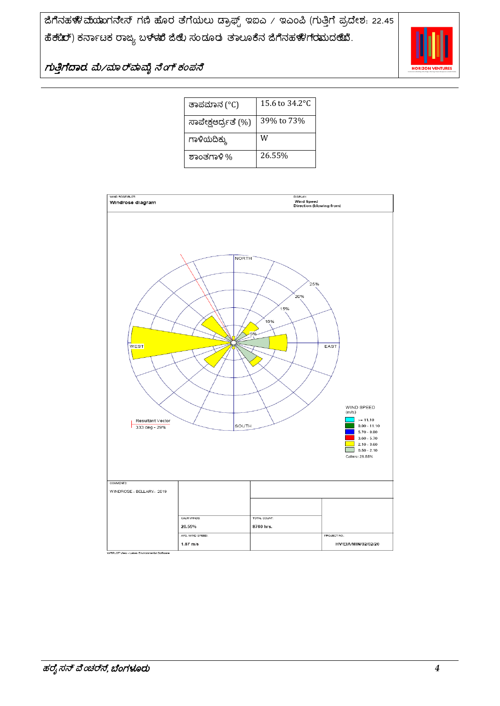

| ತಾಪಮಾನ (°C)         | 15.6 to 34.2 °C |
|---------------------|-----------------|
| ಸಾಪೇಕ್ಷಆರ್ದ್ರತೆ (%) | 39% to 73%      |
| ಗಾಳಿಯದಿಕ್ಕು         | W               |
| ಶಾಂತಗಾಳಿ %          | 26.55%          |

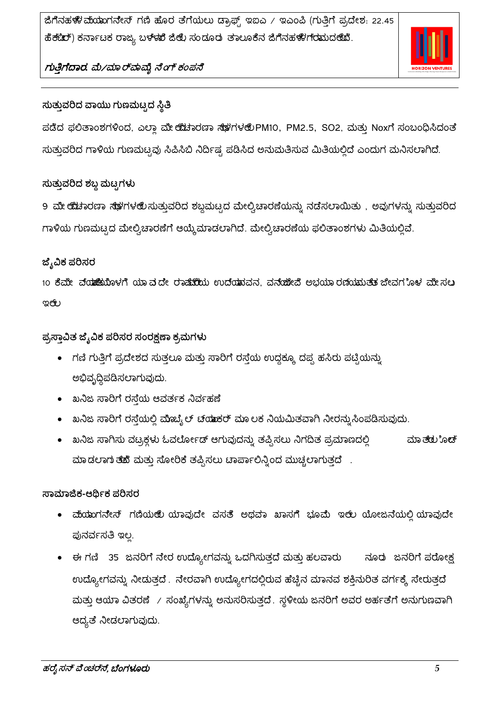ಜಿಗೆನಹಳೆಃ ಮೆಯಾಗನೇಸ್ ಗಣಿ ಹೊರ ತೆಗೆಯಲು ಡ್ರಾಫ್ಟ್ ಇಐಎ / ಇಎಂಪಿ (ಗುತ್ತಿಗೆ ಪ್ರದೇಶ: 22.45 ಹೆಕ್ಟೆರ್) ಕರ್ನಾಟಕ ರಾಜ್ಯ ಬಳಳಖೆ ಜಿಲ್ಲೆ ಸಂಡೂರು ತಾಲೂಕೆನ ಜಿಗೆನಹಳೆಗೆರಮುದ೮ೆಖೆ.



## ಗುತ್ತಿಗೆದಾರ. ಮೆ/ಮಾರ್ ಮಮ್ಮೆ ನೆಂಗ್ ಕಂಪನೆ

## ಸುತ್ತುವರಿದ ವಾಯು ಗುಣಮಟ್ಟದ ಸ್ಥಿತಿ

ಪಡೆದ ಫಲಿತಾಂಶಗಳಿಂದ, ಎಲ್ಲಾ ಮೇ ಯಚಾರಣಾ ಸ್ಥಳಗಳ ®PM10, PM2.5, SO2, ಮತ್ತು Noxಗೆ ಸಂಬಂಧಿಸಿದಂತೆ ಸುತ್ತುವರಿದ ಗಾಳಿಯ ಗುಣಮಟ್ಟವು ಸಿಪಿಸಿಬಿ ನಿರ್ದಿಷ್ಟ ಪಡಿಸಿದ ಅನುಮತಿಸುವ ಮಿತಿಯಲ್ಲಿದೆ ಎಂದುಗ ಮನಿಸಲಾಗಿದೆ.

## ಸುತ್ತುವರಿದ ಶಬ್ದ ಮಟ್ಟಗಳು

9 ಮೇ ಯೆಚಾರಣಾ ಸೆಳೆಗಳಲಿ ಸುತ್ತುವರಿದ ಶಬ್ದಮಟ್ಟದ ಮೇಲ್ವಿಚಾರಣೆಯನ್ನು ನಡೆಸಲಾಯಿತು , ಅವುಗಳನ್ನು ಸುತ್ತುವರಿದ ಗಾಳಿಯ ಗುಣಮಟ್ಟದ ಮೇಲ್ವಿಚಾರಣೆಗೆ ಆಯ್ಕೆಮಾಡಲಾಗಿದೆ. ಮೇಲ್ವಿಚಾರಣೆಯ ಫಲಿತಾಂಶಗಳು ಮಿತಿಯಲ್ಲಿವೆ.

## ಜ್ಶೆವಿಕ ಪರಿಸರ

10 ಕೆಮೇ ವ್**ಯಾಪಿ**ಯೊಳಗೆ ಯಾವದೇ ರಾ<del>ಷೆಯಿ</del>ಯ ಉದ್ಯಾಮವನ, ವನ್ಯೂಜಿ ಅಭಯಾರಣೆಯಮತ್ತು ಜೀವಗ**ೊಳ** ಮೇಸಲ ఇఱ

ಪ್ರಸ್ತಾವಿತ ಜೈವಿಕ ಪರಿಸರ ಸಂರಕ್ಷಣಾ ಕ್ರಮಗಳು

- ಗಣಿ ಗುತ್ತಿಗೆ ಪ್ರದೇಶದ ಸುತ್ತಲೂ ಮತ್ತು ಸಾರಿಗೆ ರಸ್ತೆಯ ಉದ್ದಕ್ಕೂ ದಪ್ಪ ಹಸಿರು ಪಟ್ಟಿಯನ್ನು ಅಭಿವೃದ್ಧಿಪಡಿಸಲಾಗುವುದು.
- ಖನಿಜ ಸಾರಿಗೆ ರಸ್ತೆಯ ಆವರ್ತಕ ನಿರ್ವಹಣೆ
- ಖನಿಜ ಸಾರಿಗೆ ರಸ್ತೆಯಲ್ಲಿ ಮೊಬ್ಬೆಲ್ ಚಯಾಕರ್ ಮಾಲಕ ನಿಯಮಿತವಾಗಿ ನೀರನ್ನುಸಿಂಪಡಿಸುವುದು.
- ಖನಿಜ ಸಾಗಿಸು ವಟ್ರಕ್ಗಳು ಓವರ್ಲೋಡ್ ಆಗುವುದನ್ನು ತಪ್ಪಿಸಲು ನಿಗದಿತ ಪ್ರಮಾಣದಲ್ಲಿ ಮಾ*ತೆ*ರು ೊಡ್ ಮಾಡಲಾಗುತೆದೆ ಮತ್ತು ಸೋರಿಕೆ ತಪ್ಪಿಸಲು ಟಾರ್ಪಾಲಿನ್ನಿಂದ ಮುಚ್ಚಲಾಗುತ್ತದೆ ..

#### ಸಾಮಾಜಿಕ-ಆರ್ಥಿಕ ಪರಿಸರ

- ಮ್ಯಾಂಗನೇಸ್ ಗಣಿಯಆಲಿ ಯಾವುದೇ ವಸತೆ ಅಥವಾ ಖಾಸಗೆ ಭೂಮೆ ಇಆಲ ಯೋಜನೆಯಲ್ಲಿ ಯಾವುದೇ ಪುನರ್ವಸತಿ ಇಲ್ಲ.
- ಈ ಗಣಿ 35 ಜನರಿಗೆ ನೇರ ಉದ್ಯೋಗವನ್ನು ಒದಗಿಸುತ್ತದೆ ಮತ್ತು ಹಲವಾರು ನೂರು ಜನರಿಗೆ ಪರೋಕ್ಷ ಉದ್ಯೋಗವನ್ನು ನೀಡುತ್ತದೆ . ನೇರವಾಗಿ ಉದ್ಯೋಗದಲ್ಲಿರುವ ಹೆಚ್ಚಿನ ಮಾನವ ಶಕ್ತಿನುರಿತ ವರ್ಗಕ್ಕೆ ಸೇರುತ್ತದೆ ಮತ್ತು ಆಯಾ ವಿತರಣೆ / ಸಂಖ್ಯೆಗಳನ್ನು ಅನುಸರಿಸುತ್ತದೆ. ಸ್ಥಳೀಯ ಜನರಿಗೆ ಅವರ ಅರ್ಹತೆಗೆ ಅನುಗುಣವಾಗಿ ಆದ್ಯತೆ ನೀಡಲಾಗುವುದು.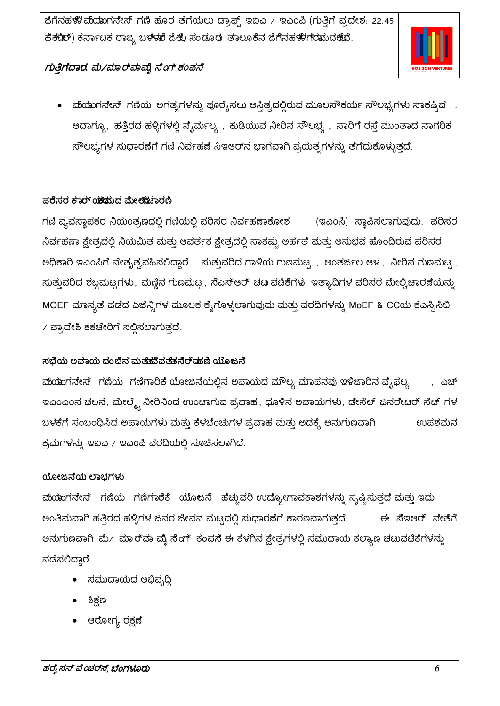

- ವಂಯಾಗನೇಸ್ ಗಣಿಯ ಅಗತ್ಯಗಳನ್ನು ಪೂರೈಸಲು ಅಸ್ತಿತ್ವದಲ್ಲಿರುವ ಮೂಲಸೌಕರ್ಯ ಸೌಲಭ್ಯಗಳು ಸಾಕಷ್ಟಿವೆ . ಆದಾಗ್ಯೂ, ಹತ್ತಿರದ ಹಳ್ಳಿಗಳಲ್ಲಿ ನೈರ್ಮಲ್ಯ , ಕುಡಿಯುವ ನೀರಿನ ಸೌಲಭ್ಯ , ಸಾರಿಗೆ ರಸ್ತೆ ಮುಂತಾದ ನಾಗರಿಕ ಸೌಲಭ್ಯಗಳ ಸುಧಾರಣೆಗೆ ಗಣಿ ನಿರ್ವಹಣೆ ಸಿಇಆರ್ನ ಭಾಗವಾಗಿ ಪ್ರಯತ್ನಗಳನ್ನು ತೆಗೆದುಕೊಳ್ಳುತ್ತದೆ.

## ಪರೆಸರ <del>ಕ</del>ಾರ್ ಂ<del>ಶ</del>ಡುದ ಮೇ*೮ೆ*ಚಿಾರಣಿ

ಗಣಿ ವ್ಯವಸ್ಥಾಪಕರ ನಿಯಂತ್ರಣದಲ್ಲಿ ಗಣಿಯಲ್ಲಿ ಪರಿಸರ ನಿರ್ವಹಣಾಕೋಶ (ಇಎಂಸಿ) ಸ್ಥಾಪಿಸಲಾಗುವುದು. ಪರಿಸರ ನಿರ್ವಹಣಾ ಕ್ಷೇತ್ರದಲ್ಲಿ ನಿಯಮಿತ ಮತ್ತು ಆವರ್ತಕ ಕ್ಷೇತ್ರದಲ್ಲಿ ಸಾಕಷ್ಟು ಅರ್ಹತೆ ಮತ್ತು ಅನುಭವ ಹೊಂದಿರುವ ಪರಿಸರ ಅಧಿಕಾರಿ ಇಎಂಸಿಗೆ ನೇತೃತ್ವವಹಿಸಲಿದ್ದಾರೆ . ಸುತ್ತುವರಿದ ಗಾಳಿಯ ಗುಣಮಟ್ಟ , ಅಂತರ್ಜಲ ಆಳ , ನೀರಿನ ಗುಣಮಟ್ಟ , ಸುತ್ತುವರಿದ ಶಬ್ಧಮಟ್ಟಗಳು, ಮಣ್ಣಿನ ಗುಣಮಟ್ಟ, ಸೆಎಸ್ಆರ್ ಚಟ ವಜಿಕೆಗಳು ಇತ್ಯಾದಿಗಳ ಪರಿಸರ ಮೇಲ್ವಿಚಾರಣೆಯನ್ನು MOEF ಮಾನ್ಯತೆ ಪಡೆದ ಏಜೆನ್ಸಿಗಳ ಮೂಲಕ ಕೈಗೊಳ್ಳಲಾಗುವುದು ಮತ್ತು ವರದಿಗಳನ್ನು MoEF & CCಯ ಕೆಎಸ್ಪಿಸಿಬಿ  $\ell$  ಪ್ರಾದೇಶಿ ಕಕಚೇರಿಗೆ ಸಲ್ಲಿಸಲಾಗುತ್ತದೆ.

## ಸಭೆಯ ಅಪಾಯ ದಂಚಿನ ಮತುಹೆಪೆಪತುಗೆರ್ಹಹಣಿ ಯೊಜನೆ

ಮೆಯಾಗನೇಸ್ ಗಣಿಯ ಗಣಿಗಾರಿಕೆ ಯೋಜನೆಯಲ್ಲಿನ ಅಪಾಯದ ಮೌಲ್ಯ ಮಾಪನವು ಇಳಿಜಾರಿನ ವೈಫಲ್ಯ . ಎಚ್ ಇಎಂಎಂನ ಚಲನೆ, ಮೇಲ್ಮೈ ನೀರಿನಿಂದ ಉಂಟಾಗುವ ಪ್ರವಾಹ ,ಧೂಳಿನ ಅಪಾಯಗಳು, ಡೇಸೆಲ್ ಜನರೇಟರ್ ಸೆಟ್ ಗಳ ಬಳಕೆಗೆ ಸಂಬಂಧಿಸಿದ ಅಪಾಯಗಳು ಮತ್ತು ಕೆಳಬೆಂಚುಗಳ ಪ್ರವಾಹ ಮತ್ತು ಅದಕ್ಕೆ ಅನುಗುಣವಾಗಿ ಉಪಶಮನ ಕ್ರಮಗಳನ್ನು ಇಐಎ / ಇಎಂಪಿ ವರದಿಯಲ್ಲಿ ಸೂಚಿಸಲಾಗಿದೆ.

## ಯೋಜನೆಯ ಲಾಭಗಳು

<mark>ವುೆಯ</mark>ುಗನೇಸ್ ಗಣಿಯ ಗಣಿಗಾರೆಕೆ ಯೊಜನೆ ಹೆಚ್ಚುವರಿ ಉದ್ಯೋಗಾವಕಾಶಗಳನ್ನು ಸೃಷ್ಟಿಸುತ್ತದೆ ಮತ್ತು ಇದು ಅಂತಿಮವಾಗಿ ಹತ್ತಿರದ ಹಳ್ಳಿಗಳ ಜನರ ಜೀವನ ಮಟ್ಟದಲ್ಲಿ ಸುಧಾರಣೆಗೆ ಕಾರಣವಾಗುತ್ತದೆ . ಈ ಸೆಇಆರ್ ನೇತೆಗೆ ಅನುಗುಣವಾಗಿ ಮೆ/ ಮಾರ್ ಮ ಮೈ ನೆಂಗ್ ಕಂಪನೆ ಈ ಕೆಳಗಿನ ಕ್ಷೇತ್ರಗಳಲ್ಲಿ ಸಮುದಾಯ ಕಲ್ಯಾಣ ಚಟುವಟಿಕೆಗಳನ್ನು ನಡೆಸಲಿದ್ದಾರೆ.

- ಸಮುದಾಯದ ಅಭಿವೃದ್ಧಿ
- ಶಿಕ್ಷಣ
- ಆರೋಗ್ಯ ರಕ್ಷಣೆ